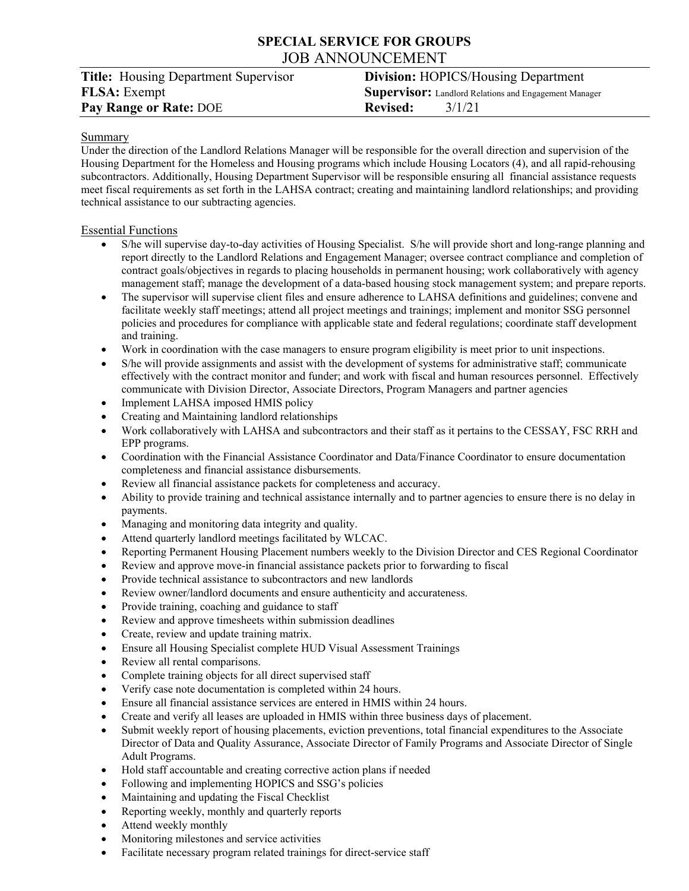# **SPECIAL SERVICE FOR GROUPS**  JOB ANNOUNCEMENT

| <b>Title:</b> Housing Department Supervisor | <b>Division:</b> HOPICS/Housing Department                   |
|---------------------------------------------|--------------------------------------------------------------|
| <b>FLSA</b> : Exempt                        | <b>Supervisor:</b> Landlord Relations and Engagement Manager |
| Pay Range or Rate: DOE                      | 3/1/21<br><b>Revised:</b>                                    |

## Summary

Under the direction of the Landlord Relations Manager will be responsible for the overall direction and supervision of the Housing Department for the Homeless and Housing programs which include Housing Locators (4), and all rapid-rehousing subcontractors. Additionally, Housing Department Supervisor will be responsible ensuring all financial assistance requests meet fiscal requirements as set forth in the LAHSA contract; creating and maintaining landlord relationships; and providing technical assistance to our subtracting agencies.

## Essential Functions

- S/he will supervise day-to-day activities of Housing Specialist. S/he will provide short and long-range planning and report directly to the Landlord Relations and Engagement Manager; oversee contract compliance and completion of contract goals/objectives in regards to placing households in permanent housing; work collaboratively with agency management staff; manage the development of a data-based housing stock management system; and prepare reports.
- The supervisor will supervise client files and ensure adherence to LAHSA definitions and guidelines; convene and facilitate weekly staff meetings; attend all project meetings and trainings; implement and monitor SSG personnel policies and procedures for compliance with applicable state and federal regulations; coordinate staff development and training.
- Work in coordination with the case managers to ensure program eligibility is meet prior to unit inspections.
- S/he will provide assignments and assist with the development of systems for administrative staff; communicate effectively with the contract monitor and funder; and work with fiscal and human resources personnel. Effectively communicate with Division Director, Associate Directors, Program Managers and partner agencies
- Implement LAHSA imposed HMIS policy
- Creating and Maintaining landlord relationships
- Work collaboratively with LAHSA and subcontractors and their staff as it pertains to the CESSAY, FSC RRH and EPP programs.
- Coordination with the Financial Assistance Coordinator and Data/Finance Coordinator to ensure documentation completeness and financial assistance disbursements.
- Review all financial assistance packets for completeness and accuracy.
- Ability to provide training and technical assistance internally and to partner agencies to ensure there is no delay in payments.
- Managing and monitoring data integrity and quality.
- Attend quarterly landlord meetings facilitated by WLCAC.
- Reporting Permanent Housing Placement numbers weekly to the Division Director and CES Regional Coordinator
- Review and approve move-in financial assistance packets prior to forwarding to fiscal
- Provide technical assistance to subcontractors and new landlords
- Review owner/landlord documents and ensure authenticity and accurateness.
- Provide training, coaching and guidance to staff
- Review and approve timesheets within submission deadlines
- Create, review and update training matrix.
- Ensure all Housing Specialist complete HUD Visual Assessment Trainings
- Review all rental comparisons.
- Complete training objects for all direct supervised staff
- Verify case note documentation is completed within 24 hours.
- Ensure all financial assistance services are entered in HMIS within 24 hours.
- Create and verify all leases are uploaded in HMIS within three business days of placement.
- Submit weekly report of housing placements, eviction preventions, total financial expenditures to the Associate Director of Data and Quality Assurance, Associate Director of Family Programs and Associate Director of Single Adult Programs.
- Hold staff accountable and creating corrective action plans if needed
- Following and implementing HOPICS and SSG's policies
- Maintaining and updating the Fiscal Checklist
- Reporting weekly, monthly and quarterly reports
- Attend weekly monthly
- Monitoring milestones and service activities
- Facilitate necessary program related trainings for direct-service staff